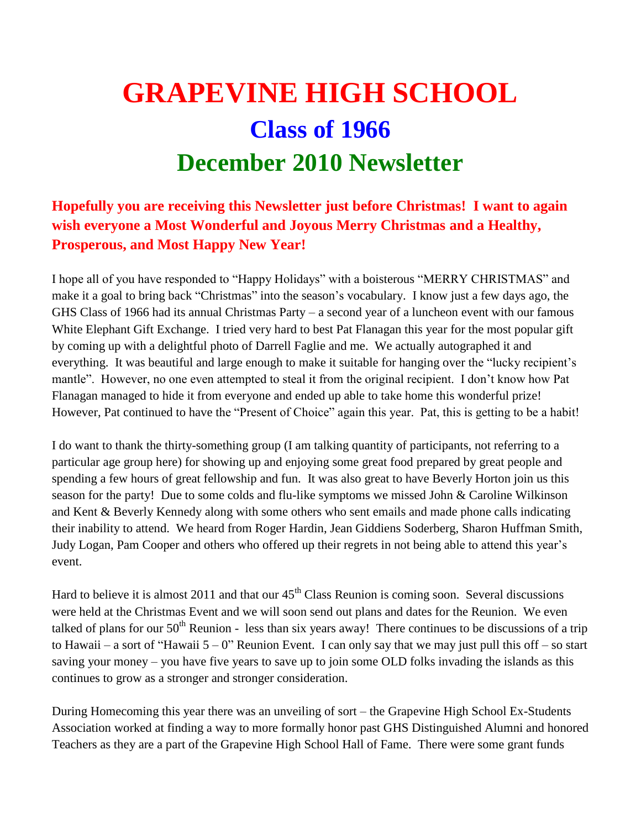## **GRAPEVINE HIGH SCHOOL Class of 1966 December 2010 Newsletter**

## **Hopefully you are receiving this Newsletter just before Christmas! I want to again wish everyone a Most Wonderful and Joyous Merry Christmas and a Healthy, Prosperous, and Most Happy New Year!**

I hope all of you have responded to "Happy Holidays" with a boisterous "MERRY CHRISTMAS" and make it a goal to bring back "Christmas" into the season's vocabulary. I know just a few days ago, the GHS Class of 1966 had its annual Christmas Party – a second year of a luncheon event with our famous White Elephant Gift Exchange. I tried very hard to best Pat Flanagan this year for the most popular gift by coming up with a delightful photo of Darrell Faglie and me. We actually autographed it and everything. It was beautiful and large enough to make it suitable for hanging over the "lucky recipient's mantle". However, no one even attempted to steal it from the original recipient. I don't know how Pat Flanagan managed to hide it from everyone and ended up able to take home this wonderful prize! However, Pat continued to have the "Present of Choice" again this year. Pat, this is getting to be a habit!

I do want to thank the thirty-something group (I am talking quantity of participants, not referring to a particular age group here) for showing up and enjoying some great food prepared by great people and spending a few hours of great fellowship and fun. It was also great to have Beverly Horton join us this season for the party! Due to some colds and flu-like symptoms we missed John & Caroline Wilkinson and Kent & Beverly Kennedy along with some others who sent emails and made phone calls indicating their inability to attend. We heard from Roger Hardin, Jean Giddiens Soderberg, Sharon Huffman Smith, Judy Logan, Pam Cooper and others who offered up their regrets in not being able to attend this year's event.

Hard to believe it is almost 2011 and that our  $45<sup>th</sup>$  Class Reunion is coming soon. Several discussions were held at the Christmas Event and we will soon send out plans and dates for the Reunion. We even talked of plans for our  $50<sup>th</sup>$  Reunion - less than six years away! There continues to be discussions of a trip to Hawaii – a sort of "Hawaii  $5 - 0$ " Reunion Event. I can only say that we may just pull this off – so start saving your money – you have five years to save up to join some OLD folks invading the islands as this continues to grow as a stronger and stronger consideration.

During Homecoming this year there was an unveiling of sort – the Grapevine High School Ex-Students Association worked at finding a way to more formally honor past GHS Distinguished Alumni and honored Teachers as they are a part of the Grapevine High School Hall of Fame. There were some grant funds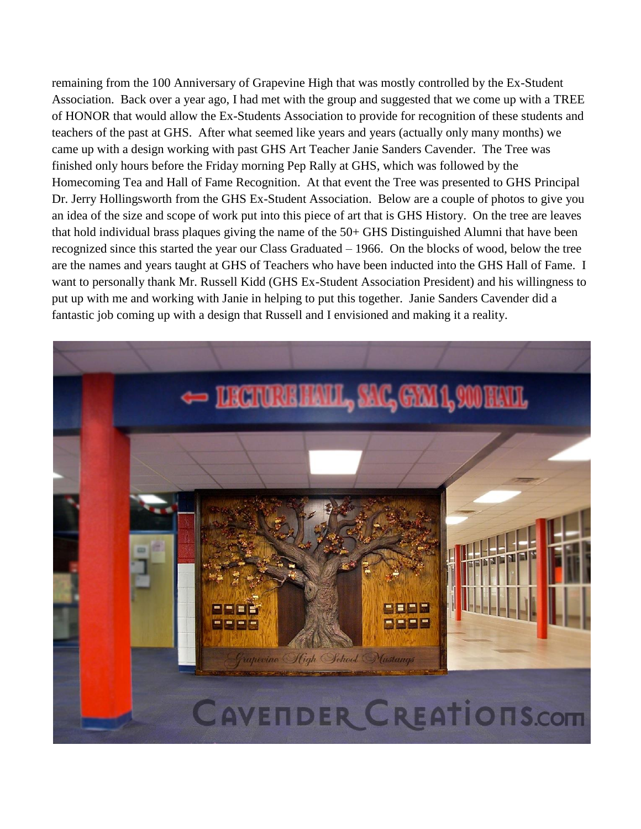remaining from the 100 Anniversary of Grapevine High that was mostly controlled by the Ex-Student Association. Back over a year ago, I had met with the group and suggested that we come up with a TREE of HONOR that would allow the Ex-Students Association to provide for recognition of these students and teachers of the past at GHS. After what seemed like years and years (actually only many months) we came up with a design working with past GHS Art Teacher Janie Sanders Cavender. The Tree was finished only hours before the Friday morning Pep Rally at GHS, which was followed by the Homecoming Tea and Hall of Fame Recognition. At that event the Tree was presented to GHS Principal Dr. Jerry Hollingsworth from the GHS Ex-Student Association. Below are a couple of photos to give you an idea of the size and scope of work put into this piece of art that is GHS History. On the tree are leaves that hold individual brass plaques giving the name of the 50+ GHS Distinguished Alumni that have been recognized since this started the year our Class Graduated – 1966. On the blocks of wood, below the tree are the names and years taught at GHS of Teachers who have been inducted into the GHS Hall of Fame. I want to personally thank Mr. Russell Kidd (GHS Ex-Student Association President) and his willingness to put up with me and working with Janie in helping to put this together. Janie Sanders Cavender did a fantastic job coming up with a design that Russell and I envisioned and making it a reality.

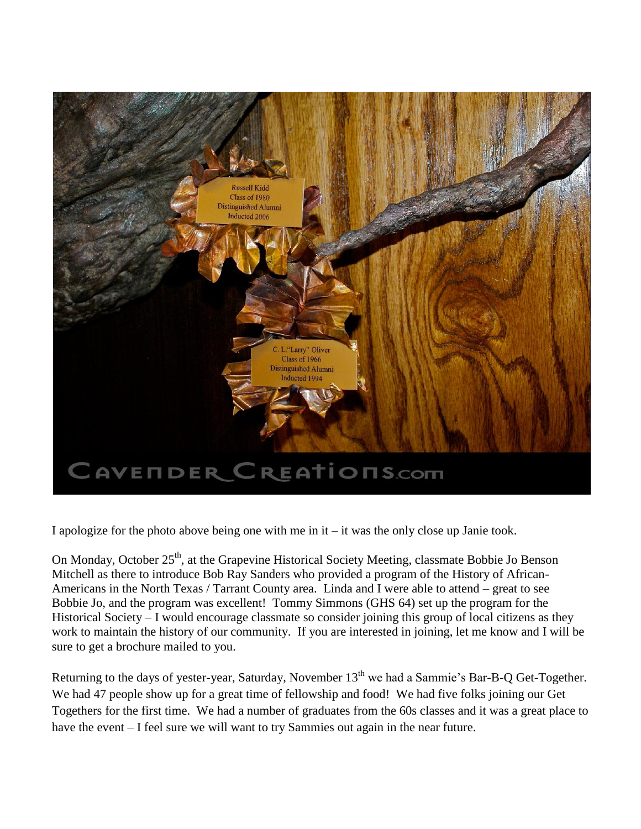

I apologize for the photo above being one with me in it – it was the only close up Janie took.

On Monday, October 25<sup>th</sup>, at the Grapevine Historical Society Meeting, classmate Bobbie Jo Benson Mitchell as there to introduce Bob Ray Sanders who provided a program of the History of African-Americans in the North Texas / Tarrant County area. Linda and I were able to attend – great to see Bobbie Jo, and the program was excellent! Tommy Simmons (GHS 64) set up the program for the Historical Society – I would encourage classmate so consider joining this group of local citizens as they work to maintain the history of our community. If you are interested in joining, let me know and I will be sure to get a brochure mailed to you.

Returning to the days of yester-year, Saturday, November 13<sup>th</sup> we had a Sammie's Bar-B-Q Get-Together. We had 47 people show up for a great time of fellowship and food! We had five folks joining our Get Togethers for the first time. We had a number of graduates from the 60s classes and it was a great place to have the event – I feel sure we will want to try Sammies out again in the near future.